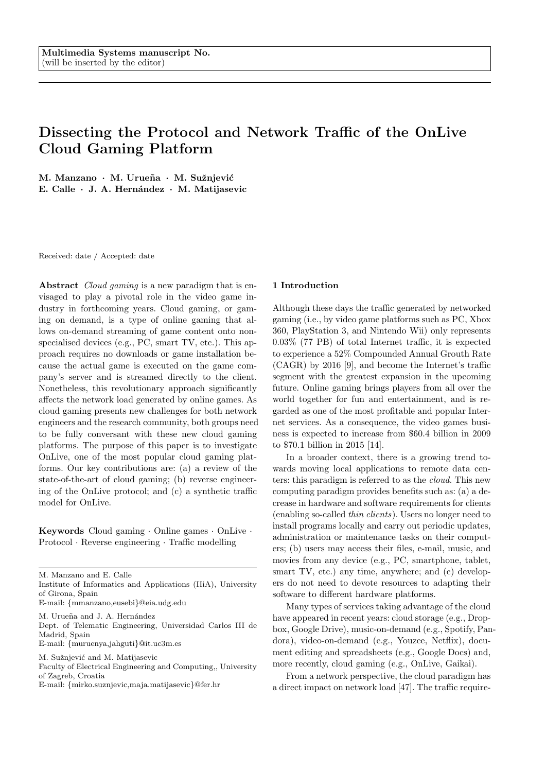# Dissecting the Protocol and Network Traffic of the OnLive Cloud Gaming Platform

M. Manzano · M. Urueña · M. Sužnjević E. Calle · J. A. Hernández · M. Matijasevic

Received: date / Accepted: date

Abstract Cloud gaming is a new paradigm that is envisaged to play a pivotal role in the video game industry in forthcoming years. Cloud gaming, or gaming on demand, is a type of online gaming that allows on-demand streaming of game content onto nonspecialised devices (e.g., PC, smart TV, etc.). This approach requires no downloads or game installation because the actual game is executed on the game company's server and is streamed directly to the client. Nonetheless, this revolutionary approach significantly affects the network load generated by online games. As cloud gaming presents new challenges for both network engineers and the research community, both groups need to be fully conversant with these new cloud gaming platforms. The purpose of this paper is to investigate OnLive, one of the most popular cloud gaming platforms. Our key contributions are: (a) a review of the state-of-the-art of cloud gaming; (b) reverse engineering of the OnLive protocol; and (c) a synthetic traffic model for OnLive.

Keywords Cloud gaming · Online games · OnLive · Protocol · Reverse engineering · Traffic modelling

- Institute of Informatics and Applications (IIiA), University of Girona, Spain
- E-mail: {mmanzano,eusebi}@eia.udg.edu
- M. Urueña and J. A. Hernández

Dept. of Telematic Engineering, Universidad Carlos III de Madrid, Spain

E-mail: {muruenya,jahguti}@it.uc3m.es

- M. Sužnjević and M. Matijasevic
- Faculty of Electrical Engineering and Computing,, University of Zagreb, Croatia

#### 1 Introduction

Although these days the traffic generated by networked gaming (i.e., by video game platforms such as PC, Xbox 360, PlayStation 3, and Nintendo Wii) only represents 0.03% (77 PB) of total Internet traffic, it is expected to experience a 52% Compounded Annual Grouth Rate (CAGR) by 2016 [9], and become the Internet's traffic segment with the greatest expansion in the upcoming future. Online gaming brings players from all over the world together for fun and entertainment, and is regarded as one of the most profitable and popular Internet services. As a consequence, the video games business is expected to increase from \$60.4 billion in 2009 to \$70.1 billion in 2015 [14].

In a broader context, there is a growing trend towards moving local applications to remote data centers: this paradigm is referred to as the cloud. This new computing paradigm provides benefits such as: (a) a decrease in hardware and software requirements for clients (enabling so-called thin clients). Users no longer need to install programs locally and carry out periodic updates, administration or maintenance tasks on their computers; (b) users may access their files, e-mail, music, and movies from any device (e.g., PC, smartphone, tablet, smart TV, etc.) any time, anywhere; and (c) developers do not need to devote resources to adapting their software to different hardware platforms.

Many types of services taking advantage of the cloud have appeared in recent years: cloud storage (e.g., Dropbox, Google Drive), music-on-demand (e.g., Spotify, Pandora), video-on-demand (e.g., Youzee, Netflix), document editing and spreadsheets (e.g., Google Docs) and, more recently, cloud gaming (e.g., OnLive, Gaikai).

From a network perspective, the cloud paradigm has a direct impact on network load [47]. The traffic require-

M. Manzano and E. Calle

E-mail: {mirko.suznjevic,maja.matijasevic}@fer.hr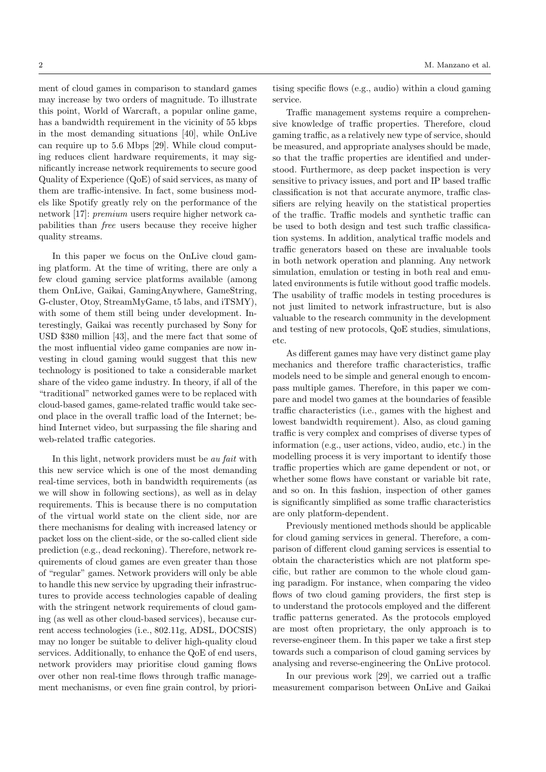ment of cloud games in comparison to standard games may increase by two orders of magnitude. To illustrate this point, World of Warcraft, a popular online game, has a bandwidth requirement in the vicinity of 55 kbps in the most demanding situations [40], while OnLive can require up to 5.6 Mbps [29]. While cloud computing reduces client hardware requirements, it may significantly increase network requirements to secure good Quality of Experience (QoE) of said services, as many of them are traffic-intensive. In fact, some business models like Spotify greatly rely on the performance of the network [17]: premium users require higher network capabilities than free users because they receive higher quality streams.

In this paper we focus on the OnLive cloud gaming platform. At the time of writing, there are only a few cloud gaming service platforms available (among them OnLive, Gaikai, GamingAnywhere, GameString, G-cluster, Otoy, StreamMyGame, t5 labs, and iTSMY), with some of them still being under development. Interestingly, Gaikai was recently purchased by Sony for USD \$380 million [43], and the mere fact that some of the most influential video game companies are now investing in cloud gaming would suggest that this new technology is positioned to take a considerable market share of the video game industry. In theory, if all of the "traditional" networked games were to be replaced with cloud-based games, game-related traffic would take second place in the overall traffic load of the Internet; behind Internet video, but surpassing the file sharing and web-related traffic categories.

In this light, network providers must be au fait with this new service which is one of the most demanding real-time services, both in bandwidth requirements (as we will show in following sections), as well as in delay requirements. This is because there is no computation of the virtual world state on the client side, nor are there mechanisms for dealing with increased latency or packet loss on the client-side, or the so-called client side prediction (e.g., dead reckoning). Therefore, network requirements of cloud games are even greater than those of "regular" games. Network providers will only be able to handle this new service by upgrading their infrastructures to provide access technologies capable of dealing with the stringent network requirements of cloud gaming (as well as other cloud-based services), because current access technologies (i.e., 802.11g, ADSL, DOCSIS) may no longer be suitable to deliver high-quality cloud services. Additionally, to enhance the QoE of end users, network providers may prioritise cloud gaming flows over other non real-time flows through traffic management mechanisms, or even fine grain control, by priori-

tising specific flows (e.g., audio) within a cloud gaming service.

Traffic management systems require a comprehensive knowledge of traffic properties. Therefore, cloud gaming traffic, as a relatively new type of service, should be measured, and appropriate analyses should be made, so that the traffic properties are identified and understood. Furthermore, as deep packet inspection is very sensitive to privacy issues, and port and IP based traffic classification is not that accurate anymore, traffic classifiers are relying heavily on the statistical properties of the traffic. Traffic models and synthetic traffic can be used to both design and test such traffic classification systems. In addition, analytical traffic models and traffic generators based on these are invaluable tools in both network operation and planning. Any network simulation, emulation or testing in both real and emulated environments is futile without good traffic models. The usability of traffic models in testing procedures is not just limited to network infrastructure, but is also valuable to the research community in the development and testing of new protocols, QoE studies, simulations, etc.

As different games may have very distinct game play mechanics and therefore traffic characteristics, traffic models need to be simple and general enough to encompass multiple games. Therefore, in this paper we compare and model two games at the boundaries of feasible traffic characteristics (i.e., games with the highest and lowest bandwidth requirement). Also, as cloud gaming traffic is very complex and comprises of diverse types of information (e.g., user actions, video, audio, etc.) in the modelling process it is very important to identify those traffic properties which are game dependent or not, or whether some flows have constant or variable bit rate, and so on. In this fashion, inspection of other games is significantly simplified as some traffic characteristics are only platform-dependent.

Previously mentioned methods should be applicable for cloud gaming services in general. Therefore, a comparison of different cloud gaming services is essential to obtain the characteristics which are not platform specific, but rather are common to the whole cloud gaming paradigm. For instance, when comparing the video flows of two cloud gaming providers, the first step is to understand the protocols employed and the different traffic patterns generated. As the protocols employed are most often proprietary, the only approach is to reverse-engineer them. In this paper we take a first step towards such a comparison of cloud gaming services by analysing and reverse-engineering the OnLive protocol.

In our previous work [29], we carried out a traffic measurement comparison between OnLive and Gaikai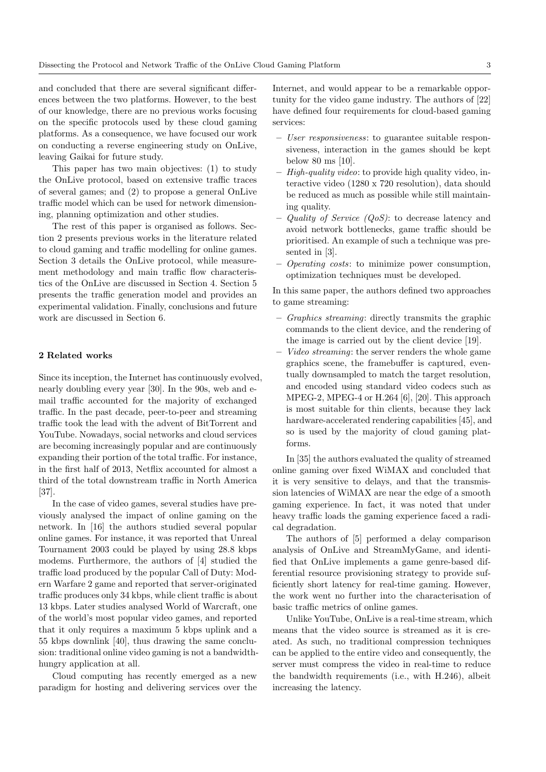and concluded that there are several significant differences between the two platforms. However, to the best of our knowledge, there are no previous works focusing on the specific protocols used by these cloud gaming platforms. As a consequence, we have focused our work on conducting a reverse engineering study on OnLive, leaving Gaikai for future study.

This paper has two main objectives: (1) to study the OnLive protocol, based on extensive traffic traces of several games; and (2) to propose a general OnLive traffic model which can be used for network dimensioning, planning optimization and other studies.

The rest of this paper is organised as follows. Section 2 presents previous works in the literature related to cloud gaming and traffic modelling for online games. Section 3 details the OnLive protocol, while measurement methodology and main traffic flow characteristics of the OnLive are discussed in Section 4. Section 5 presents the traffic generation model and provides an experimental validation. Finally, conclusions and future work are discussed in Section 6.

# 2 Related works

Since its inception, the Internet has continuously evolved, nearly doubling every year [30]. In the 90s, web and email traffic accounted for the majority of exchanged traffic. In the past decade, peer-to-peer and streaming traffic took the lead with the advent of BitTorrent and YouTube. Nowadays, social networks and cloud services are becoming increasingly popular and are continuously expanding their portion of the total traffic. For instance, in the first half of 2013, Netflix accounted for almost a third of the total downstream traffic in North America [37].

In the case of video games, several studies have previously analysed the impact of online gaming on the network. In [16] the authors studied several popular online games. For instance, it was reported that Unreal Tournament 2003 could be played by using 28.8 kbps modems. Furthermore, the authors of [4] studied the traffic load produced by the popular Call of Duty: Modern Warfare 2 game and reported that server-originated traffic produces only 34 kbps, while client traffic is about 13 kbps. Later studies analysed World of Warcraft, one of the world's most popular video games, and reported that it only requires a maximum 5 kbps uplink and a 55 kbps downlink [40], thus drawing the same conclusion: traditional online video gaming is not a bandwidthhungry application at all.

Cloud computing has recently emerged as a new paradigm for hosting and delivering services over the Internet, and would appear to be a remarkable opportunity for the video game industry. The authors of [22] have defined four requirements for cloud-based gaming services:

- User responsiveness: to guarantee suitable responsiveness, interaction in the games should be kept below 80 ms [10].
- High-quality video: to provide high quality video, interactive video (1280 x 720 resolution), data should be reduced as much as possible while still maintaining quality.
- Quality of Service  $(QoS)$ : to decrease latency and avoid network bottlenecks, game traffic should be prioritised. An example of such a technique was presented in [3].
- Operating costs: to minimize power consumption, optimization techniques must be developed.

In this same paper, the authors defined two approaches to game streaming:

- Graphics streaming: directly transmits the graphic commands to the client device, and the rendering of the image is carried out by the client device [19].
- Video streaming: the server renders the whole game graphics scene, the framebuffer is captured, eventually downsampled to match the target resolution, and encoded using standard video codecs such as MPEG-2, MPEG-4 or H.264 [6], [20]. This approach is most suitable for thin clients, because they lack hardware-accelerated rendering capabilities [45], and so is used by the majority of cloud gaming platforms.

In [35] the authors evaluated the quality of streamed online gaming over fixed WiMAX and concluded that it is very sensitive to delays, and that the transmission latencies of WiMAX are near the edge of a smooth gaming experience. In fact, it was noted that under heavy traffic loads the gaming experience faced a radical degradation.

The authors of [5] performed a delay comparison analysis of OnLive and StreamMyGame, and identified that OnLive implements a game genre-based differential resource provisioning strategy to provide sufficiently short latency for real-time gaming. However, the work went no further into the characterisation of basic traffic metrics of online games.

Unlike YouTube, OnLive is a real-time stream, which means that the video source is streamed as it is created. As such, no traditional compression techniques can be applied to the entire video and consequently, the server must compress the video in real-time to reduce the bandwidth requirements (i.e., with H.246), albeit increasing the latency.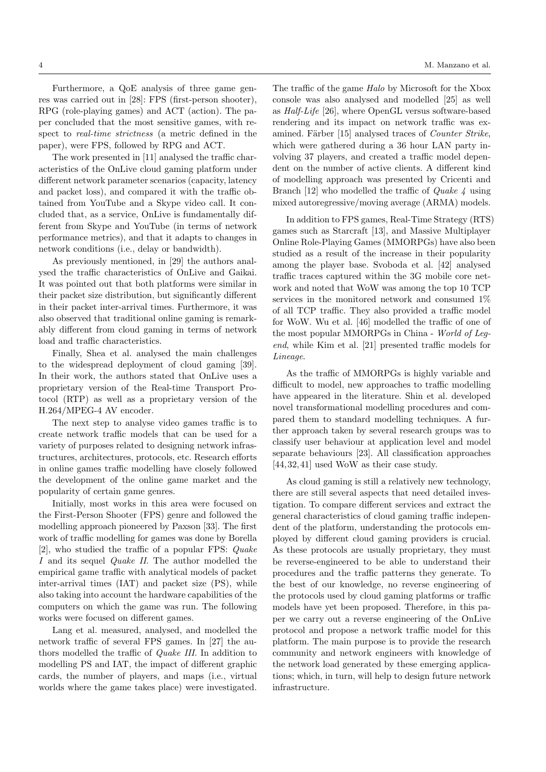Furthermore, a QoE analysis of three game genres was carried out in [28]: FPS (first-person shooter), RPG (role-playing games) and ACT (action). The paper concluded that the most sensitive games, with respect to real-time strictness (a metric defined in the paper), were FPS, followed by RPG and ACT.

The work presented in [11] analysed the traffic characteristics of the OnLive cloud gaming platform under different network parameter scenarios (capacity, latency and packet loss), and compared it with the traffic obtained from YouTube and a Skype video call. It concluded that, as a service, OnLive is fundamentally different from Skype and YouTube (in terms of network performance metrics), and that it adapts to changes in network conditions (i.e., delay or bandwidth).

As previously mentioned, in [29] the authors analysed the traffic characteristics of OnLive and Gaikai. It was pointed out that both platforms were similar in their packet size distribution, but significantly different in their packet inter-arrival times. Furthermore, it was also observed that traditional online gaming is remarkably different from cloud gaming in terms of network load and traffic characteristics.

Finally, Shea et al. analysed the main challenges to the widespread deployment of cloud gaming [39]. In their work, the authors stated that OnLive uses a proprietary version of the Real-time Transport Protocol (RTP) as well as a proprietary version of the H.264/MPEG-4 AV encoder.

The next step to analyse video games traffic is to create network traffic models that can be used for a variety of purposes related to designing network infrastructures, architectures, protocols, etc. Research efforts in online games traffic modelling have closely followed the development of the online game market and the popularity of certain game genres.

Initially, most works in this area were focused on the First-Person Shooter (FPS) genre and followed the modelling approach pioneered by Paxson [33]. The first work of traffic modelling for games was done by Borella [2], who studied the traffic of a popular FPS: Quake I and its sequel Quake II. The author modelled the empirical game traffic with analytical models of packet inter-arrival times (IAT) and packet size (PS), while also taking into account the hardware capabilities of the computers on which the game was run. The following works were focused on different games.

Lang et al. measured, analysed, and modelled the network traffic of several FPS games. In [27] the authors modelled the traffic of Quake III. In addition to modelling PS and IAT, the impact of different graphic cards, the number of players, and maps (i.e., virtual worlds where the game takes place) were investigated.

4 M. Manzano et al.

The traffic of the game Halo by Microsoft for the Xbox console was also analysed and modelled [25] as well as Half-Life [26], where OpenGL versus software-based rendering and its impact on network traffic was examined. Färber [15] analysed traces of *Counter Strike*, which were gathered during a 36 hour LAN party involving 37 players, and created a traffic model dependent on the number of active clients. A different kind of modelling approach was presented by Cricenti and Branch [12] who modelled the traffic of *Quake 4* using mixed autoregressive/moving average (ARMA) models.

In addition to FPS games, Real-Time Strategy (RTS) games such as Starcraft [13], and Massive Multiplayer Online Role-Playing Games (MMORPGs) have also been studied as a result of the increase in their popularity among the player base. Svoboda et al. [42] analysed traffic traces captured within the 3G mobile core network and noted that WoW was among the top 10 TCP services in the monitored network and consumed 1% of all TCP traffic. They also provided a traffic model for WoW. Wu et al. [46] modelled the traffic of one of the most popular MMORPGs in China - World of Legend, while Kim et al. [21] presented traffic models for Lineage.

As the traffic of MMORPGs is highly variable and difficult to model, new approaches to traffic modelling have appeared in the literature. Shin et al. developed novel transformational modelling procedures and compared them to standard modelling techniques. A further approach taken by several research groups was to classify user behaviour at application level and model separate behaviours [23]. All classification approaches [44, 32, 41] used WoW as their case study.

As cloud gaming is still a relatively new technology, there are still several aspects that need detailed investigation. To compare different services and extract the general characteristics of cloud gaming traffic independent of the platform, understanding the protocols employed by different cloud gaming providers is crucial. As these protocols are usually proprietary, they must be reverse-engineered to be able to understand their procedures and the traffic patterns they generate. To the best of our knowledge, no reverse engineering of the protocols used by cloud gaming platforms or traffic models have yet been proposed. Therefore, in this paper we carry out a reverse engineering of the OnLive protocol and propose a network traffic model for this platform. The main purpose is to provide the research community and network engineers with knowledge of the network load generated by these emerging applications; which, in turn, will help to design future network infrastructure.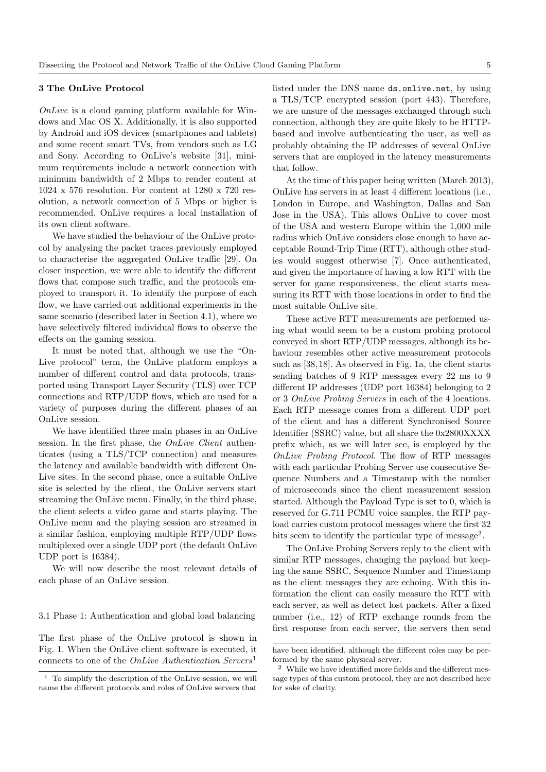#### 3 The OnLive Protocol

 $OnLive$  is a cloud gaming platform available for Windows and Mac OS X. Additionally, it is also supported by Android and iOS devices (smartphones and tablets) and some recent smart TVs, from vendors such as LG and Sony. According to OnLive's website [31], minimum requirements include a network connection with minimum bandwidth of 2 Mbps to render content at 1024 x 576 resolution. For content at 1280 x 720 resolution, a network connection of 5 Mbps or higher is recommended. OnLive requires a local installation of its own client software.

We have studied the behaviour of the OnLive protocol by analysing the packet traces previously employed to characterise the aggregated OnLive traffic [29]. On closer inspection, we were able to identify the different flows that compose such traffic, and the protocols employed to transport it. To identify the purpose of each flow, we have carried out additional experiments in the same scenario (described later in Section 4.1), where we have selectively filtered individual flows to observe the effects on the gaming session.

It must be noted that, although we use the "On-Live protocol" term, the OnLive platform employs a number of different control and data protocols, transported using Transport Layer Security (TLS) over TCP connections and RTP/UDP flows, which are used for a variety of purposes during the different phases of an OnLive session.

We have identified three main phases in an OnLive session. In the first phase, the *OnLive Client* authenticates (using a TLS/TCP connection) and measures the latency and available bandwidth with different On-Live sites. In the second phase, once a suitable OnLive site is selected by the client, the OnLive servers start streaming the OnLive menu. Finally, in the third phase, the client selects a video game and starts playing. The OnLive menu and the playing session are streamed in a similar fashion, employing multiple RTP/UDP flows multiplexed over a single UDP port (the default OnLive UDP port is 16384).

We will now describe the most relevant details of each phase of an OnLive session.

3.1 Phase 1: Authentication and global load balancing

The first phase of the OnLive protocol is shown in Fig. 1. When the OnLive client software is executed, it connects to one of the *OnLive Authentication Servers*<sup>1</sup>

listed under the DNS name ds.onlive.net, by using a TLS/TCP encrypted session (port 443). Therefore, we are unsure of the messages exchanged through such connection, although they are quite likely to be HTTPbased and involve authenticating the user, as well as probably obtaining the IP addresses of several OnLive servers that are employed in the latency measurements that follow.

At the time of this paper being written (March 2013), OnLive has servers in at least 4 different locations (i.e., London in Europe, and Washington, Dallas and San Jose in the USA). This allows OnLive to cover most of the USA and western Europe within the 1,000 mile radius which OnLive considers close enough to have acceptable Round-Trip Time (RTT), although other studies would suggest otherwise [7]. Once authenticated, and given the importance of having a low RTT with the server for game responsiveness, the client starts measuring its RTT with those locations in order to find the most suitable OnLive site.

These active RTT measurements are performed using what would seem to be a custom probing protocol conveyed in short RTP/UDP messages, although its behaviour resembles other active measurement protocols such as [38, 18]. As observed in Fig. 1a, the client starts sending batches of 9 RTP messages every 22 ms to 9 different IP addresses (UDP port 16384) belonging to 2 or 3 OnLive Probing Servers in each of the 4 locations. Each RTP message comes from a different UDP port of the client and has a different Synchronised Source Identifier (SSRC) value, but all share the 0x2800XXXX prefix which, as we will later see, is employed by the OnLive Probing Protocol. The flow of RTP messages with each particular Probing Server use consecutive Sequence Numbers and a Timestamp with the number of microseconds since the client measurement session started. Although the Payload Type is set to 0, which is reserved for G.711 PCMU voice samples, the RTP payload carries custom protocol messages where the first 32 bits seem to identify the particular type of message<sup>2</sup>.

The OnLive Probing Servers reply to the client with similar RTP messages, changing the payload but keeping the same SSRC, Sequence Number and Timestamp as the client messages they are echoing. With this information the client can easily measure the RTT with each server, as well as detect lost packets. After a fixed number (i.e., 12) of RTP exchange rounds from the first response from each server, the servers then send

 $1$  To simplify the description of the OnLive session, we will name the different protocols and roles of OnLive servers that

have been identified, although the different roles may be performed by the same physical server.

<sup>2</sup> While we have identified more fields and the different message types of this custom protocol, they are not described here for sake of clarity.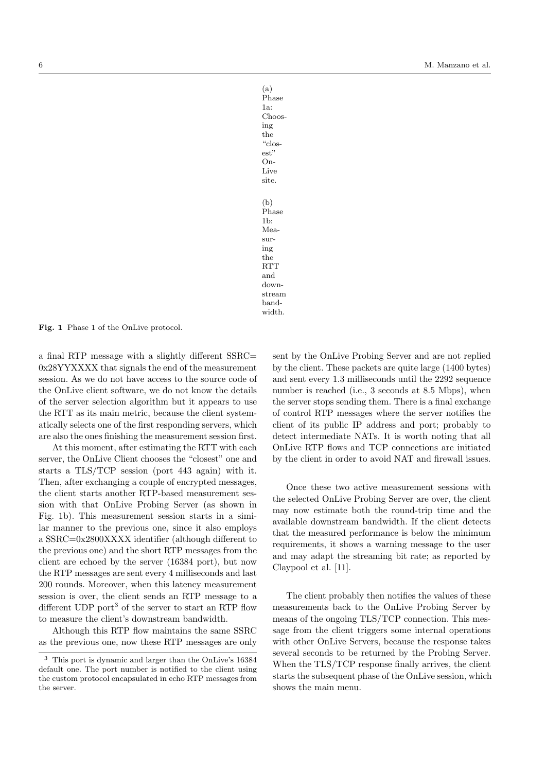(a) Phase 1a: Choosing the "closest" On-Live site. (b) Phase 1b: Measuring the **RTT** and downstream bandwidth.

Fig. 1 Phase 1 of the OnLive protocol.

a final RTP message with a slightly different SSRC= 0x28YYXXXX that signals the end of the measurement session. As we do not have access to the source code of the OnLive client software, we do not know the details of the server selection algorithm but it appears to use the RTT as its main metric, because the client systematically selects one of the first responding servers, which are also the ones finishing the measurement session first.

At this moment, after estimating the RTT with each server, the OnLive Client chooses the "closest" one and starts a TLS/TCP session (port 443 again) with it. Then, after exchanging a couple of encrypted messages, the client starts another RTP-based measurement session with that OnLive Probing Server (as shown in Fig. 1b). This measurement session starts in a similar manner to the previous one, since it also employs a SSRC=0x2800XXXX identifier (although different to the previous one) and the short RTP messages from the client are echoed by the server (16384 port), but now the RTP messages are sent every 4 milliseconds and last 200 rounds. Moreover, when this latency measurement session is over, the client sends an RTP message to a different UDP port<sup>3</sup> of the server to start an RTP flow to measure the client's downstream bandwidth.

Although this RTP flow maintains the same SSRC as the previous one, now these RTP messages are only sent by the OnLive Probing Server and are not replied by the client. These packets are quite large (1400 bytes) and sent every 1.3 milliseconds until the 2292 sequence number is reached (i.e., 3 seconds at 8.5 Mbps), when the server stops sending them. There is a final exchange of control RTP messages where the server notifies the client of its public IP address and port; probably to detect intermediate NATs. It is worth noting that all OnLive RTP flows and TCP connections are initiated by the client in order to avoid NAT and firewall issues.

Once these two active measurement sessions with the selected OnLive Probing Server are over, the client may now estimate both the round-trip time and the available downstream bandwidth. If the client detects that the measured performance is below the minimum requirements, it shows a warning message to the user and may adapt the streaming bit rate; as reported by Claypool et al. [11].

The client probably then notifies the values of these measurements back to the OnLive Probing Server by means of the ongoing TLS/TCP connection. This message from the client triggers some internal operations with other OnLive Servers, because the response takes several seconds to be returned by the Probing Server. When the TLS/TCP response finally arrives, the client starts the subsequent phase of the OnLive session, which shows the main menu.

<sup>3</sup> This port is dynamic and larger than the OnLive's 16384 default one. The port number is notified to the client using the custom protocol encapsulated in echo RTP messages from the server.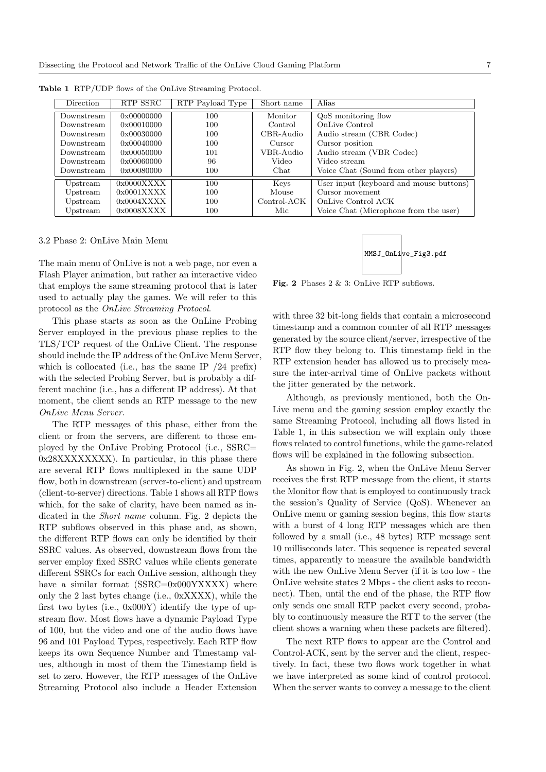| Direction  | RTP SSRC            | RTP Payload Type | Short name  | Alias                                   |
|------------|---------------------|------------------|-------------|-----------------------------------------|
|            |                     |                  |             |                                         |
| Downstream | 0x00000000          | 100              | Monitor     | QoS monitoring flow                     |
| Downstream | 0x00010000          | 100              | Control     | OnLive Control                          |
| Downstream | 0x00030000          | 100              | CBR-Audio   | Audio stream (CBR Codec)                |
| Downstream | 0x00040000          | 100              | Cursor      | Cursor position                         |
| Downstream | $0 \times 00050000$ | 101              | VBR-Audio   | Audio stream (VBR Codec)                |
| Downstream | 0x00060000          | 96               | Video       | Video stream                            |
| Downstream | 0x00080000          | 100              | Chat        | Voice Chat (Sound from other players)   |
| Upstream   | 0x0000XXXX          | 100              | Keys        | User input (keyboard and mouse buttons) |
|            |                     |                  |             |                                         |
| Upstream   | 0x0001XXXX          | 100              | Mouse       | Cursor movement                         |
| Upstream   | 0x0004XXX           | 100              | Control-ACK | OnLive Control ACK                      |
| Upstream   | 0x0008XXXX          | 100              | Mic         | Voice Chat (Microphone from the user)   |

Table 1 RTP/UDP flows of the OnLive Streaming Protocol.

#### 3.2 Phase 2: OnLive Main Menu

The main menu of OnLive is not a web page, nor even a Flash Player animation, but rather an interactive video that employs the same streaming protocol that is later used to actually play the games. We will refer to this protocol as the OnLive Streaming Protocol.

This phase starts as soon as the OnLine Probing Server employed in the previous phase replies to the TLS/TCP request of the OnLive Client. The response should include the IP address of the OnLive Menu Server, which is collocated (i.e., has the same IP /24 prefix) with the selected Probing Server, but is probably a different machine (i.e., has a different IP address). At that moment, the client sends an RTP message to the new OnLive Menu Server.

The RTP messages of this phase, either from the client or from the servers, are different to those employed by the OnLive Probing Protocol (i.e., SSRC= 0x28XXXXXXXX). In particular, in this phase there are several RTP flows multiplexed in the same UDP flow, both in downstream (server-to-client) and upstream (client-to-server) directions. Table 1 shows all RTP flows which, for the sake of clarity, have been named as indicated in the Short name column. Fig. 2 depicts the RTP subflows observed in this phase and, as shown, the different RTP flows can only be identified by their SSRC values. As observed, downstream flows from the server employ fixed SSRC values while clients generate different SSRCs for each OnLive session, although they have a similar format (SSRC=0x000YXXXX) where only the 2 last bytes change (i.e., 0xXXXX), while the first two bytes (i.e., 0x000Y) identify the type of upstream flow. Most flows have a dynamic Payload Type of 100, but the video and one of the audio flows have 96 and 101 Payload Types, respectively. Each RTP flow keeps its own Sequence Number and Timestamp values, although in most of them the Timestamp field is set to zero. However, the RTP messages of the OnLive Streaming Protocol also include a Header Extension



Fig. 2 Phases 2 & 3: OnLive RTP subflows.

with three 32 bit-long fields that contain a microsecond timestamp and a common counter of all RTP messages generated by the source client/server, irrespective of the RTP flow they belong to. This timestamp field in the RTP extension header has allowed us to precisely measure the inter-arrival time of OnLive packets without the jitter generated by the network.

Although, as previously mentioned, both the On-Live menu and the gaming session employ exactly the same Streaming Protocol, including all flows listed in Table 1, in this subsection we will explain only those flows related to control functions, while the game-related flows will be explained in the following subsection.

As shown in Fig. 2, when the OnLive Menu Server receives the first RTP message from the client, it starts the Monitor flow that is employed to continuously track the session's Quality of Service (QoS). Whenever an OnLive menu or gaming session begins, this flow starts with a burst of 4 long RTP messages which are then followed by a small (i.e., 48 bytes) RTP message sent 10 milliseconds later. This sequence is repeated several times, apparently to measure the available bandwidth with the new OnLive Menu Server (if it is too low - the OnLive website states 2 Mbps - the client asks to reconnect). Then, until the end of the phase, the RTP flow only sends one small RTP packet every second, probably to continuously measure the RTT to the server (the client shows a warning when these packets are filtered).

The next RTP flows to appear are the Control and Control-ACK, sent by the server and the client, respectively. In fact, these two flows work together in what we have interpreted as some kind of control protocol. When the server wants to convey a message to the client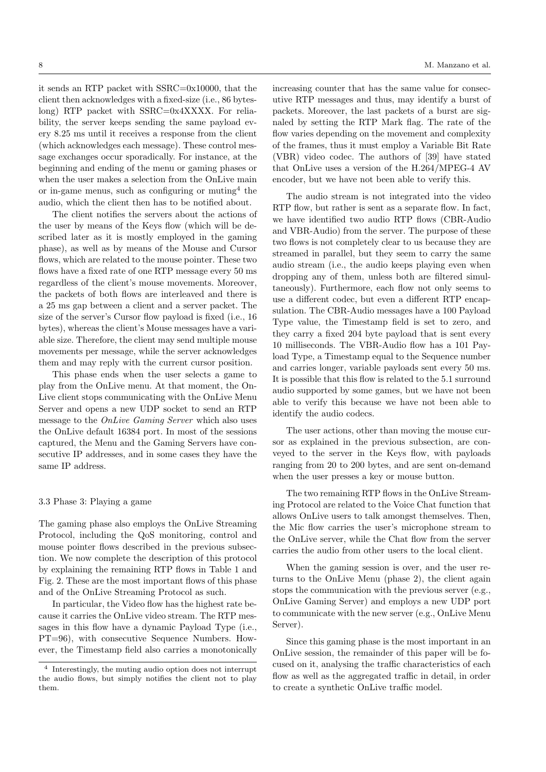it sends an RTP packet with SSRC=0x10000, that the client then acknowledges with a fixed-size (i.e., 86 byteslong) RTP packet with SSRC=0x4XXXX. For reliability, the server keeps sending the same payload every 8.25 ms until it receives a response from the client (which acknowledges each message). These control message exchanges occur sporadically. For instance, at the beginning and ending of the menu or gaming phases or when the user makes a selection from the OnLive main or in-game menus, such as configuring or muting<sup>4</sup> the audio, which the client then has to be notified about.

The client notifies the servers about the actions of the user by means of the Keys flow (which will be described later as it is mostly employed in the gaming phase), as well as by means of the Mouse and Cursor flows, which are related to the mouse pointer. These two flows have a fixed rate of one RTP message every 50 ms regardless of the client's mouse movements. Moreover, the packets of both flows are interleaved and there is a 25 ms gap between a client and a server packet. The size of the server's Cursor flow payload is fixed (i.e., 16 bytes), whereas the client's Mouse messages have a variable size. Therefore, the client may send multiple mouse movements per message, while the server acknowledges them and may reply with the current cursor position.

This phase ends when the user selects a game to play from the OnLive menu. At that moment, the On-Live client stops communicating with the OnLive Menu Server and opens a new UDP socket to send an RTP message to the OnLive Gaming Server which also uses the OnLive default 16384 port. In most of the sessions captured, the Menu and the Gaming Servers have consecutive IP addresses, and in some cases they have the same IP address.

## 3.3 Phase 3: Playing a game

The gaming phase also employs the OnLive Streaming Protocol, including the QoS monitoring, control and mouse pointer flows described in the previous subsection. We now complete the description of this protocol by explaining the remaining RTP flows in Table 1 and Fig. 2. These are the most important flows of this phase and of the OnLive Streaming Protocol as such.

In particular, the Video flow has the highest rate because it carries the OnLive video stream. The RTP messages in this flow have a dynamic Payload Type (i.e., PT=96), with consecutive Sequence Numbers. However, the Timestamp field also carries a monotonically increasing counter that has the same value for consecutive RTP messages and thus, may identify a burst of packets. Moreover, the last packets of a burst are signaled by setting the RTP Mark flag. The rate of the flow varies depending on the movement and complexity of the frames, thus it must employ a Variable Bit Rate (VBR) video codec. The authors of [39] have stated that OnLive uses a version of the H.264/MPEG-4 AV encoder, but we have not been able to verify this.

The audio stream is not integrated into the video RTP flow, but rather is sent as a separate flow. In fact, we have identified two audio RTP flows (CBR-Audio and VBR-Audio) from the server. The purpose of these two flows is not completely clear to us because they are streamed in parallel, but they seem to carry the same audio stream (i.e., the audio keeps playing even when dropping any of them, unless both are filtered simultaneously). Furthermore, each flow not only seems to use a different codec, but even a different RTP encapsulation. The CBR-Audio messages have a 100 Payload Type value, the Timestamp field is set to zero, and they carry a fixed 204 byte payload that is sent every 10 milliseconds. The VBR-Audio flow has a 101 Payload Type, a Timestamp equal to the Sequence number and carries longer, variable payloads sent every 50 ms. It is possible that this flow is related to the 5.1 surround audio supported by some games, but we have not been able to verify this because we have not been able to identify the audio codecs.

The user actions, other than moving the mouse cursor as explained in the previous subsection, are conveyed to the server in the Keys flow, with payloads ranging from 20 to 200 bytes, and are sent on-demand when the user presses a key or mouse button.

The two remaining RTP flows in the OnLive Streaming Protocol are related to the Voice Chat function that allows OnLive users to talk amongst themselves. Then, the Mic flow carries the user's microphone stream to the OnLive server, while the Chat flow from the server carries the audio from other users to the local client.

When the gaming session is over, and the user returns to the OnLive Menu (phase 2), the client again stops the communication with the previous server (e.g., OnLive Gaming Server) and employs a new UDP port to communicate with the new server (e.g., OnLive Menu Server).

Since this gaming phase is the most important in an OnLive session, the remainder of this paper will be focused on it, analysing the traffic characteristics of each flow as well as the aggregated traffic in detail, in order to create a synthetic OnLive traffic model.

<sup>4</sup> Interestingly, the muting audio option does not interrupt the audio flows, but simply notifies the client not to play them.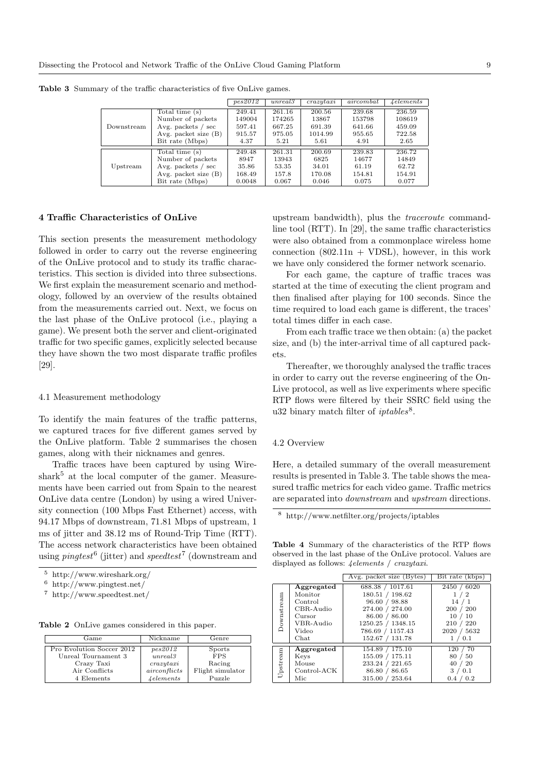|            |                                 | pes2012 | unreal3 | crazvtaxi | aircombat | 4 elements |
|------------|---------------------------------|---------|---------|-----------|-----------|------------|
|            | Total time (s)                  | 249.41  | 261.16  | 200.56    | 239.68    | 236.59     |
|            | Number of packets               | 149004  | 174265  | 13867     | 153798    | 108619     |
| Downstream | Avg. packets $\prime$ sec       | 597.41  | 667.25  | 691.39    | 641.66    | 459.09     |
|            | Avg. packet size $(B)$          | 915.57  | 975.05  | 1014.99   | 955.65    | 722.58     |
|            | Bit rate (Mbps)                 | 4.37    | 5.21    | 5.61      | 4.91      | 2.65       |
|            | Total time (s)                  | 249.48  | 261.31  | 200.69    | 239.83    | 236.72     |
| Upstream   | Number of packets               | 8947    | 13943   | 6825      | 14677     | 14849      |
|            | Avg. packets $\frac{\ }{2}$ sec | 35.86   | 53.35   | 34.01     | 61.19     | 62.72      |
|            | Avg. packet size (B)            | 168.49  | 157.8   | 170.08    | 154.81    | 154.91     |
|            | Bit rate (Mbps)                 | 0.0048  | 0.067   | 0.046     | 0.075     | 0.077      |

Table 3 Summary of the traffic characteristics of five OnLive games.

## 4 Traffic Characteristics of OnLive

This section presents the measurement methodology followed in order to carry out the reverse engineering of the OnLive protocol and to study its traffic characteristics. This section is divided into three subsections. We first explain the measurement scenario and methodology, followed by an overview of the results obtained from the measurements carried out. Next, we focus on the last phase of the OnLive protocol (i.e., playing a game). We present both the server and client-originated traffic for two specific games, explicitly selected because they have shown the two most disparate traffic profiles [29].

### 4.1 Measurement methodology

To identify the main features of the traffic patterns, we captured traces for five different games served by the OnLive platform. Table 2 summarises the chosen games, along with their nicknames and genres.

Traffic traces have been captured by using Wire $shark<sup>5</sup>$  at the local computer of the gamer. Measurements have been carried out from Spain to the nearest OnLive data centre (London) by using a wired University connection (100 Mbps Fast Ethernet) access, with 94.17 Mbps of downstream, 71.81 Mbps of upstream, 1 ms of jitter and 38.12 ms of Round-Trip Time (RTT). The access network characteristics have been obtained using *pingtest*<sup>6</sup> (jitter) and *speedtest*<sup>7</sup> (downstream and

<sup>7</sup> http://www.speedtest.net/

|  |  |  | Table 2 OnLive games considered in this paper. |  |  |  |
|--|--|--|------------------------------------------------|--|--|--|
|--|--|--|------------------------------------------------|--|--|--|

| $\rm{Game}$               | Nickname           | Genre            |
|---------------------------|--------------------|------------------|
| Pro Evolution Soccer 2012 | pes2012            | Sports           |
| Unreal Tournament 3       | unreal3            | <b>FPS</b>       |
| Crazy Taxi                | crazytaxi          | Racing           |
| Air Conflicts             | airconflicts       | Flight simulator |
| 4 Elements                | $\Lambda$ elements | Puzzle           |

upstream bandwidth), plus the traceroute commandline tool (RTT). In [29], the same traffic characteristics were also obtained from a commonplace wireless home connection  $(802.11n + VDSL)$ , however, in this work we have only considered the former network scenario.

For each game, the capture of traffic traces was started at the time of executing the client program and then finalised after playing for 100 seconds. Since the time required to load each game is different, the traces' total times differ in each case.

From each traffic trace we then obtain: (a) the packet size, and (b) the inter-arrival time of all captured packets.

Thereafter, we thoroughly analysed the traffic traces in order to carry out the reverse engineering of the On-Live protocol, as well as live experiments where specific RTP flows were filtered by their SSRC field using the u32 binary match filter of  $iptables$ <sup>8</sup>.

#### 4.2 Overview

Here, a detailed summary of the overall measurement results is presented in Table 3. The table shows the measured traffic metrics for each video game. Traffic metrics are separated into downstream and upstream directions.

<sup>8</sup> http://www.netfilter.org/projects/iptables

Table 4 Summary of the characteristics of the RTP flows observed in the last phase of the OnLive protocol. Values are displayed as follows: 4elements / crazytaxi.

|            |               | Avg. packet size (Bytes) | Bit rate (kbps) |
|------------|---------------|--------------------------|-----------------|
|            | Aggregated    | 688.38 / 1017.61         | 2450 /<br>6020  |
|            | Monitor       | 180.51 / 198.62          | $\overline{2}$  |
| Downstream | Control       | 96.60 / 98.88            | 14              |
|            | CBR-Audio     | 274.00 / 274.00          | 200 / 200       |
|            | Cursor        | 86.00 / 86.00            | 10/<br>-10      |
|            | VBR-Audio     | 1250.25 / 1348.15        | 210/<br>220     |
|            | Video         | 786.69 / 1157.43         | 2020 / 5632     |
|            | Chat          | 152.67 / 131.78          | 0.1             |
|            | Aggregated    | 154.89 / 175.10          | 70<br>120       |
|            | Keys          | 155.09 / 175.11          | 80<br>50        |
|            | Mouse         | 233.24 / 221.65          | 40<br>20        |
| Upstream   | $Control-ACK$ | 86.80 / 86.65            | 3<br>0.1        |
|            | Mic           | 315.00 / 253.64          | 0.2<br>$0.4\,$  |

<sup>5</sup> http://www.wireshark.org/

<sup>6</sup> http://www.pingtest.net/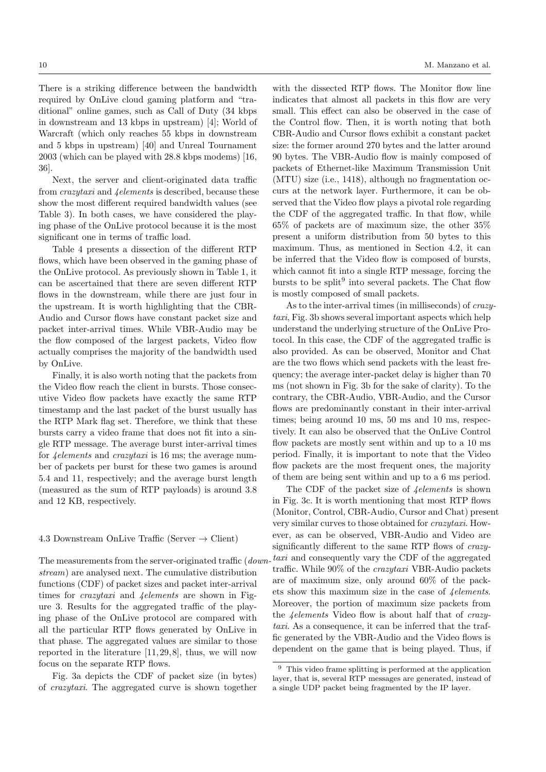There is a striking difference between the bandwidth required by OnLive cloud gaming platform and "traditional" online games, such as Call of Duty (34 kbps in downstream and 13 kbps in upstream) [4]; World of Warcraft (which only reaches 55 kbps in downstream and 5 kbps in upstream) [40] and Unreal Tournament 2003 (which can be played with 28.8 kbps modems) [16, 36].

Next, the server and client-originated data traffic from crazytaxi and 4elements is described, because these show the most different required bandwidth values (see Table 3). In both cases, we have considered the playing phase of the OnLive protocol because it is the most significant one in terms of traffic load.

Table 4 presents a dissection of the different RTP flows, which have been observed in the gaming phase of the OnLive protocol. As previously shown in Table 1, it can be ascertained that there are seven different RTP flows in the downstream, while there are just four in the upstream. It is worth highlighting that the CBR-Audio and Cursor flows have constant packet size and packet inter-arrival times. While VBR-Audio may be the flow composed of the largest packets, Video flow actually comprises the majority of the bandwidth used by OnLive.

Finally, it is also worth noting that the packets from the Video flow reach the client in bursts. Those consecutive Video flow packets have exactly the same RTP timestamp and the last packet of the burst usually has the RTP Mark flag set. Therefore, we think that these bursts carry a video frame that does not fit into a single RTP message. The average burst inter-arrival times for 4elements and crazytaxi is 16 ms; the average number of packets per burst for these two games is around 5.4 and 11, respectively; and the average burst length (measured as the sum of RTP payloads) is around 3.8 and 12 KB, respectively.

#### 4.3 Downstream OnLive Traffic (Server  $\rightarrow$  Client)

The measurements from the server-originated traffic (*down*stream) are analysed next. The cumulative distribution functions (CDF) of packet sizes and packet inter-arrival times for *crazytaxi* and *4elements* are shown in Figure 3. Results for the aggregated traffic of the playing phase of the OnLive protocol are compared with all the particular RTP flows generated by OnLive in that phase. The aggregated values are similar to those reported in the literature [11, 29, 8], thus, we will now focus on the separate RTP flows.

Fig. 3a depicts the CDF of packet size (in bytes) of crazytaxi. The aggregated curve is shown together

with the dissected RTP flows. The Monitor flow line indicates that almost all packets in this flow are very small. This effect can also be observed in the case of the Control flow. Then, it is worth noting that both CBR-Audio and Cursor flows exhibit a constant packet size: the former around 270 bytes and the latter around 90 bytes. The VBR-Audio flow is mainly composed of packets of Ethernet-like Maximum Transmission Unit (MTU) size (i.e., 1418), although no fragmentation occurs at the network layer. Furthermore, it can be observed that the Video flow plays a pivotal role regarding the CDF of the aggregated traffic. In that flow, while 65% of packets are of maximum size, the other 35% present a uniform distribution from 50 bytes to this maximum. Thus, as mentioned in Section 4.2, it can be inferred that the Video flow is composed of bursts, which cannot fit into a single RTP message, forcing the bursts to be split<sup>9</sup> into several packets. The Chat flow is mostly composed of small packets.

As to the inter-arrival times (in milliseconds) of crazytaxi, Fig. 3b shows several important aspects which help understand the underlying structure of the OnLive Protocol. In this case, the CDF of the aggregated traffic is also provided. As can be observed, Monitor and Chat are the two flows which send packets with the least frequency; the average inter-packet delay is higher than 70 ms (not shown in Fig. 3b for the sake of clarity). To the contrary, the CBR-Audio, VBR-Audio, and the Cursor flows are predominantly constant in their inter-arrival times; being around 10 ms, 50 ms and 10 ms, respectively. It can also be observed that the OnLive Control flow packets are mostly sent within and up to a 10 ms period. Finally, it is important to note that the Video flow packets are the most frequent ones, the majority of them are being sent within and up to a 6 ms period.

The CDF of the packet size of  $\phi$  *delements* is shown in Fig. 3c. It is worth mentioning that most RTP flows (Monitor, Control, CBR-Audio, Cursor and Chat) present very similar curves to those obtained for crazytaxi. However, as can be observed, VBR-Audio and Video are significantly different to the same RTP flows of crazytaxi and consequently vary the CDF of the aggregated traffic. While 90% of the crazytaxi VBR-Audio packets are of maximum size, only around 60% of the packets show this maximum size in the case of *Lelements*. Moreover, the portion of maximum size packets from the 4elements Video flow is about half that of crazytaxi. As a consequence, it can be inferred that the traffic generated by the VBR-Audio and the Video flows is dependent on the game that is being played. Thus, if

<sup>9</sup> This video frame splitting is performed at the application layer, that is, several RTP messages are generated, instead of a single UDP packet being fragmented by the IP layer.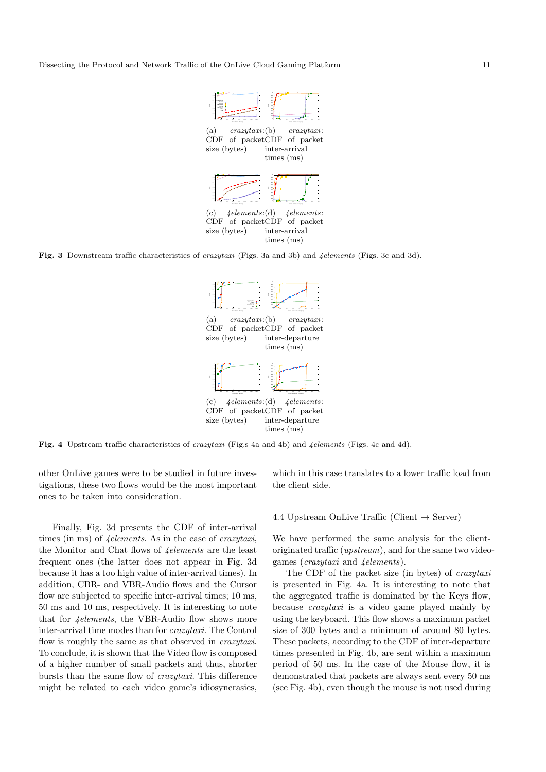

Fig. 3 Downstream traffic characteristics of crazytaxi (Figs. 3a and 3b) and 4elements (Figs. 3c and 3d).



Fig. 4 Upstream traffic characteristics of crazytaxi (Fig.s 4a and 4b) and 4elements (Figs. 4c and 4d).

other OnLive games were to be studied in future investigations, these two flows would be the most important ones to be taken into consideration.

Finally, Fig. 3d presents the CDF of inter-arrival times (in ms) of *4*elements. As in the case of *crazytaxi*, the Monitor and Chat flows of 4elements are the least frequent ones (the latter does not appear in Fig. 3d because it has a too high value of inter-arrival times). In addition, CBR- and VBR-Audio flows and the Cursor flow are subjected to specific inter-arrival times; 10 ms, 50 ms and 10 ms, respectively. It is interesting to note that for  $\phi$ *delements*, the VBR-Audio flow shows more inter-arrival time modes than for crazytaxi. The Control flow is roughly the same as that observed in crazytaxi. To conclude, it is shown that the Video flow is composed of a higher number of small packets and thus, shorter bursts than the same flow of crazytaxi. This difference might be related to each video game's idiosyncrasies,

which in this case translates to a lower traffic load from the client side.

## 4.4 Upstream OnLive Traffic (Client  $\rightarrow$  Server)

We have performed the same analysis for the clientoriginated traffic (upstream), and for the same two videogames (crazytaxi and 4elements).

The CDF of the packet size (in bytes) of crazytaxi is presented in Fig. 4a. It is interesting to note that the aggregated traffic is dominated by the Keys flow, because crazytaxi is a video game played mainly by using the keyboard. This flow shows a maximum packet size of 300 bytes and a minimum of around 80 bytes. These packets, according to the CDF of inter-departure times presented in Fig. 4b, are sent within a maximum period of 50 ms. In the case of the Mouse flow, it is demonstrated that packets are always sent every 50 ms (see Fig. 4b), even though the mouse is not used during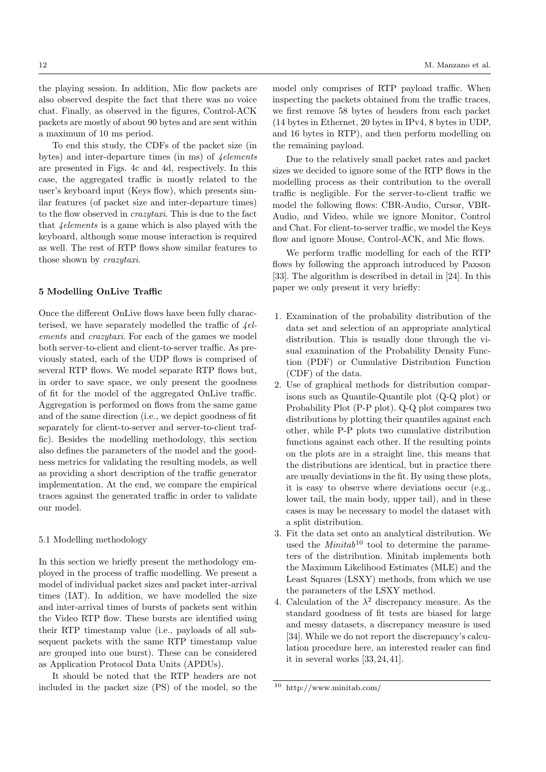the playing session. In addition, Mic flow packets are also observed despite the fact that there was no voice chat. Finally, as observed in the figures, Control-ACK packets are mostly of about 90 bytes and are sent within a maximum of 10 ms period.

To end this study, the CDFs of the packet size (in bytes) and inter-departure times (in ms) of  $\phi$ -dependents are presented in Figs. 4c and 4d, respectively. In this case, the aggregated traffic is mostly related to the user's keyboard input (Keys flow), which presents similar features (of packet size and inter-departure times) to the flow observed in crazytaxi. This is due to the fact that 4elements is a game which is also played with the keyboard, although some mouse interaction is required as well. The rest of RTP flows show similar features to those shown by crazytaxi.

## 5 Modelling OnLive Traffic

Once the different OnLive flows have been fully characterised, we have separately modelled the traffic of  $4el$ ements and crazytaxi. For each of the games we model both server-to-client and client-to-server traffic. As previously stated, each of the UDP flows is comprised of several RTP flows. We model separate RTP flows but, in order to save space, we only present the goodness of fit for the model of the aggregated OnLive traffic. Aggregation is performed on flows from the same game and of the same direction (i.e., we depict goodness of fit separately for client-to-server and server-to-client traffic). Besides the modelling methodology, this section also defines the parameters of the model and the goodness metrics for validating the resulting models, as well as providing a short description of the traffic generator implementation. At the end, we compare the empirical traces against the generated traffic in order to validate our model.

## 5.1 Modelling methodology

In this section we briefly present the methodology employed in the process of traffic modelling. We present a model of individual packet sizes and packet inter-arrival times (IAT). In addition, we have modelled the size and inter-arrival times of bursts of packets sent within the Video RTP flow. These bursts are identified using their RTP timestamp value (i.e., payloads of all subsequent packets with the same RTP timestamp value are grouped into one burst). These can be considered as Application Protocol Data Units (APDUs).

It should be noted that the RTP headers are not included in the packet size (PS) of the model, so the

model only comprises of RTP payload traffic. When inspecting the packets obtained from the traffic traces, we first remove 58 bytes of headers from each packet (14 bytes in Ethernet, 20 bytes in IPv4, 8 bytes in UDP, and 16 bytes in RTP), and then perform modelling on the remaining payload.

Due to the relatively small packet rates and packet sizes we decided to ignore some of the RTP flows in the modelling process as their contribution to the overall traffic is negligible. For the server-to-client traffic we model the following flows: CBR-Audio, Cursor, VBR-Audio, and Video, while we ignore Monitor, Control and Chat. For client-to-server traffic, we model the Keys flow and ignore Mouse, Control-ACK, and Mic flows.

We perform traffic modelling for each of the RTP flows by following the approach introduced by Paxson [33]. The algorithm is described in detail in [24]. In this paper we only present it very briefly:

- 1. Examination of the probability distribution of the data set and selection of an appropriate analytical distribution. This is usually done through the visual examination of the Probability Density Function (PDF) or Cumulative Distribution Function (CDF) of the data.
- 2. Use of graphical methods for distribution comparisons such as Quantile-Quantile plot (Q-Q plot) or Probability Plot (P-P plot). Q-Q plot compares two distributions by plotting their quantiles against each other, while P-P plots two cumulative distribution functions against each other. If the resulting points on the plots are in a straight line, this means that the distributions are identical, but in practice there are usually deviations in the fit. By using these plots, it is easy to observe where deviations occur (e.g., lower tail, the main body, upper tail), and in these cases is may be necessary to model the dataset with a split distribution.
- 3. Fit the data set onto an analytical distribution. We used the  $Minitab^{10}$  tool to determine the parameters of the distribution. Minitab implements both the Maximum Likelihood Estimates (MLE) and the Least Squares (LSXY) methods, from which we use the parameters of the LSXY method.
- 4. Calculation of the  $\lambda^2$  discrepancy measure. As the standard goodness of fit tests are biased for large and messy datasets, a discrepancy measure is used [34]. While we do not report the discrepancy's calculation procedure here, an interested reader can find it in several works [33, 24, 41].

<sup>10</sup> http://www.minitab.com/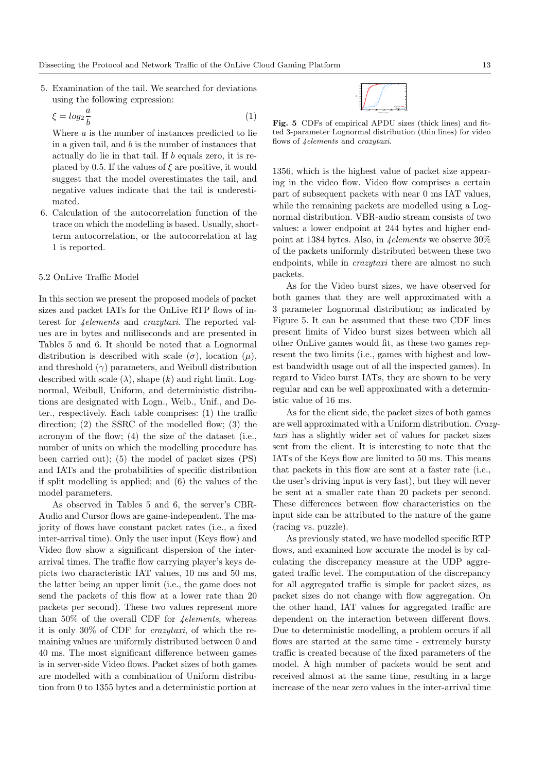5. Examination of the tail. We searched for deviations using the following expression:

$$
\xi = \log_2 \frac{a}{b} \tag{1}
$$

Where a is the number of instances predicted to lie in a given tail, and  $b$  is the number of instances that actually do lie in that tail. If b equals zero, it is replaced by 0.5. If the values of  $\xi$  are positive, it would suggest that the model overestimates the tail, and negative values indicate that the tail is underestimated.

6. Calculation of the autocorrelation function of the trace on which the modelling is based. Usually, shortterm autocorrelation, or the autocorrelation at lag 1 is reported.

## 5.2 OnLive Traffic Model

In this section we present the proposed models of packet sizes and packet IATs for the OnLive RTP flows of interest for 4elements and crazytaxi. The reported values are in bytes and milliseconds and are presented in Tables 5 and 6. It should be noted that a Lognormal distribution is described with scale  $(\sigma)$ , location  $(\mu)$ , and threshold  $(\gamma)$  parameters, and Weibull distribution described with scale  $(\lambda)$ , shape  $(k)$  and right limit. Lognormal, Weibull, Uniform, and deterministic distributions are designated with Logn., Weib., Unif., and Deter., respectively. Each table comprises: (1) the traffic direction; (2) the SSRC of the modelled flow; (3) the acronym of the flow; (4) the size of the dataset (i.e., number of units on which the modelling procedure has been carried out); (5) the model of packet sizes (PS) and IATs and the probabilities of specific distribution if split modelling is applied; and (6) the values of the model parameters.

As observed in Tables 5 and 6, the server's CBR-Audio and Cursor flows are game-independent. The majority of flows have constant packet rates (i.e., a fixed inter-arrival time). Only the user input (Keys flow) and Video flow show a significant dispersion of the interarrival times. The traffic flow carrying player's keys depicts two characteristic IAT values, 10 ms and 50 ms, the latter being an upper limit (i.e., the game does not send the packets of this flow at a lower rate than 20 packets per second). These two values represent more than 50% of the overall CDF for  $\phi$ -*delements*, whereas it is only 30% of CDF for crazytaxi, of which the remaining values are uniformly distributed between 0 and 40 ms. The most significant difference between games is in server-side Video flows. Packet sizes of both games are modelled with a combination of Uniform distribution from 0 to 1355 bytes and a deterministic portion at



Fig. 5 CDFs of empirical APDU sizes (thick lines) and fitted 3-parameter Lognormal distribution (thin lines) for video flows of 4elements and crazytaxi.

1356, which is the highest value of packet size appearing in the video flow. Video flow comprises a certain part of subsequent packets with near 0 ms IAT values, while the remaining packets are modelled using a Lognormal distribution. VBR-audio stream consists of two values: a lower endpoint at 244 bytes and higher endpoint at 1384 bytes. Also, in 4elements we observe 30% of the packets uniformly distributed between these two endpoints, while in *crazutaxi* there are almost no such packets.

As for the Video burst sizes, we have observed for both games that they are well approximated with a 3 parameter Lognormal distribution; as indicated by Figure 5. It can be assumed that these two CDF lines present limits of Video burst sizes between which all other OnLive games would fit, as these two games represent the two limits (i.e., games with highest and lowest bandwidth usage out of all the inspected games). In regard to Video burst IATs, they are shown to be very regular and can be well approximated with a deterministic value of 16 ms.

As for the client side, the packet sizes of both games are well approximated with a Uniform distribution. Crazytaxi has a slightly wider set of values for packet sizes sent from the client. It is interesting to note that the IATs of the Keys flow are limited to 50 ms. This means that packets in this flow are sent at a faster rate (i.e., the user's driving input is very fast), but they will never be sent at a smaller rate than 20 packets per second. These differences between flow characteristics on the input side can be attributed to the nature of the game (racing vs. puzzle).

As previously stated, we have modelled specific RTP flows, and examined how accurate the model is by calculating the discrepancy measure at the UDP aggregated traffic level. The computation of the discrepancy for all aggregated traffic is simple for packet sizes, as packet sizes do not change with flow aggregation. On the other hand, IAT values for aggregated traffic are dependent on the interaction between different flows. Due to deterministic modelling, a problem occurs if all flows are started at the same time - extremely bursty traffic is created because of the fixed parameters of the model. A high number of packets would be sent and received almost at the same time, resulting in a large increase of the near zero values in the inter-arrival time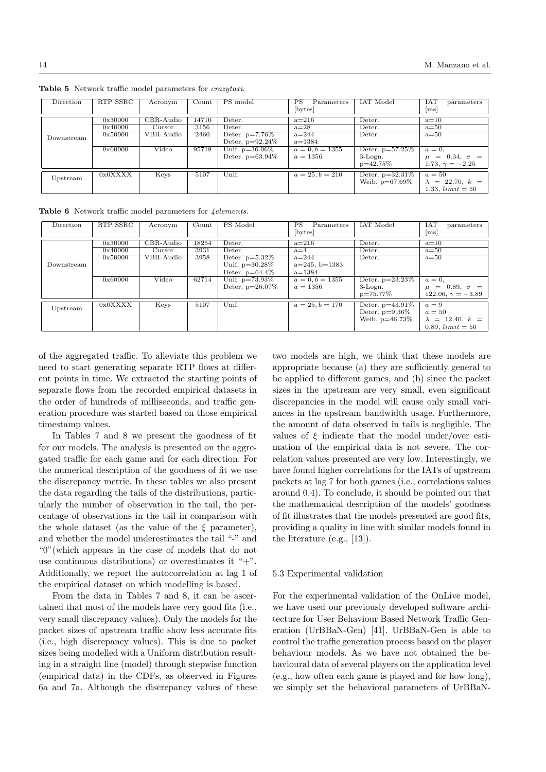| Direction  | RTP SSRC | Acronym      | Count | PS model           | PS<br>Parameters  | IAT Model          | TA1<br>parameters      |
|------------|----------|--------------|-------|--------------------|-------------------|--------------------|------------------------|
|            |          |              |       |                    | bytes             |                    | m <sub>S</sub>         |
|            | 0x30000  | CBR-Audio    | 14710 | Deter.             | $a=216$           | Deter.             | $a=10$                 |
|            |          |              |       |                    |                   |                    |                        |
|            | 0x40000  | Cursor       | 3156  | Deter.             | $a=28$            | Deter.             | $a=50$                 |
| Downstream | 0x50000  | $VBR$ -Audio | 2460  | Deter. $p=7.76\%$  | $a = 244$         | Deter.             | $a=50$                 |
|            |          |              |       | Deter. $p=92.24\%$ | $a = 1384$        |                    |                        |
|            | 0x60000  | Video        | 95718 | Unif. $p=36.06\%$  | $a = 0, b = 1355$ | Deter. $p=57.25\%$ | $a=0$ ,                |
|            |          |              |       | Deter. $p=63.94\%$ | $a = 1356$        | $3$ -Logn.         | $\mu = 0.34, \sigma =$ |
|            |          |              |       |                    |                   | $p=42.75%$         | 1.73, $\gamma = -2.25$ |
|            | 0x0XXXX  |              |       |                    |                   |                    | $a=50$                 |
| Upstream   |          | Keys         | 5107  | Unif.              | $a = 25, b = 210$ | Deter. $p=32.31\%$ |                        |
|            |          |              |       |                    |                   | Weib. $p=67.69\%$  | $\lambda = 22.70, k =$ |
|            |          |              |       |                    |                   |                    | 1.33, $limit = 50$     |

Table 5 Network traffic model parameters for crazytaxi.

Table 6 Network traffic model parameters for *4elements*.

| Direction  | RTP SSRC | Acronym                        | Count | PS Model           | PS<br>Parameters  | <b>IAT</b> Model   | IAT<br>parameters           |
|------------|----------|--------------------------------|-------|--------------------|-------------------|--------------------|-----------------------------|
|            |          |                                |       |                    | [bytes]           |                    | ms                          |
|            | 0x30000  | CBR-Audio                      | 18254 | Deter.             | $a=216$           | Deter.             | $a=10$                      |
|            | 0x40000  | Curson                         | 3931  | Deter.             | $a=4$             | Deter.             | $a=50$                      |
|            | 0x50000  | $\overline{\text{VBR}}$ -Audio | 3958  | Deter. $p=5.32\%$  | $a = 244$         | Deter.             | $a=50$                      |
| Downstream |          |                                |       | Unif. $p=30.28\%$  | $a=245, b=1383$   |                    |                             |
|            |          |                                |       | Deter. $p=64.4\%$  | $a = 1384$        |                    |                             |
|            | 0x60000  | Video                          | 62714 | Unif. $p=73.93\%$  | $a = 0, b = 1355$ | Deter. $p=23.23\%$ | $a=0$ ,                     |
|            |          |                                |       | Deter. $p=26.07\%$ | $a = 1356$        | 3-Logn.            | $= 0.89, \sigma =$<br>$\mu$ |
|            |          |                                |       |                    |                   | p=75.77%           | $122.06, \gamma = -3.89$    |
|            | 0x0XXXX  | Keys                           | 5107  | Unif.              | $a = 25, b = 170$ | Deter. $p=43.91\%$ | $a=9$                       |
| Upstream   |          |                                |       |                    |                   | Deter. $p=9.36\%$  | $a=50$                      |
|            |          |                                |       |                    |                   | Weib. $p=46.73\%$  | $\lambda = 12.40, k =$      |
|            |          |                                |       |                    |                   |                    | 0.89, $limit = 50$          |

of the aggregated traffic. To alleviate this problem we need to start generating separate RTP flows at different points in time. We extracted the starting points of separate flows from the recorded empirical datasets in the order of hundreds of milliseconds, and traffic generation procedure was started based on those empirical timestamp values.

In Tables 7 and 8 we present the goodness of fit for our models. The analysis is presented on the aggregated traffic for each game and for each direction. For the numerical description of the goodness of fit we use the discrepancy metric. In these tables we also present the data regarding the tails of the distributions, particularly the number of observation in the tail, the percentage of observations in the tail in comparison with the whole dataset (as the value of the  $\xi$  parameter), and whether the model underestimates the tail "-" and "0"(which appears in the case of models that do not use continuous distributions) or overestimates it " $+$ ". Additionally, we report the autocorrelation at lag 1 of the empirical dataset on which modelling is based.

From the data in Tables 7 and 8, it can be ascertained that most of the models have very good fits (i.e., very small discrepancy values). Only the models for the packet sizes of upstream traffic show less accurate fits (i.e., high discrepancy values). This is due to packet sizes being modelled with a Uniform distribution resulting in a straight line (model) through stepwise function (empirical data) in the CDFs, as observed in Figures 6a and 7a. Although the discrepancy values of these two models are high, we think that these models are appropriate because (a) they are sufficiently general to be applied to different games, and (b) since the packet sizes in the upstream are very small, even significant discrepancies in the model will cause only small variances in the upstream bandwidth usage. Furthermore, the amount of data observed in tails is negligible. The values of  $\xi$  indicate that the model under/over estimation of the empirical data is not severe. The correlation values presented are very low. Interestingly, we have found higher correlations for the IATs of upstream packets at lag 7 for both games (i.e., correlations values around 0.4). To conclude, it should be pointed out that the mathematical description of the models' goodness of fit illustrates that the models presented are good fits, providing a quality in line with similar models found in the literature (e.g., [13]).

# 5.3 Experimental validation

For the experimental validation of the OnLive model, we have used our previously developed software architecture for User Behaviour Based Network Traffic Generation (UrBBaN-Gen) [41]. UrBBaN-Gen is able to control the traffic generation process based on the player behaviour models. As we have not obtained the behavioural data of several players on the application level (e.g., how often each game is played and for how long), we simply set the behavioral parameters of UrBBaN-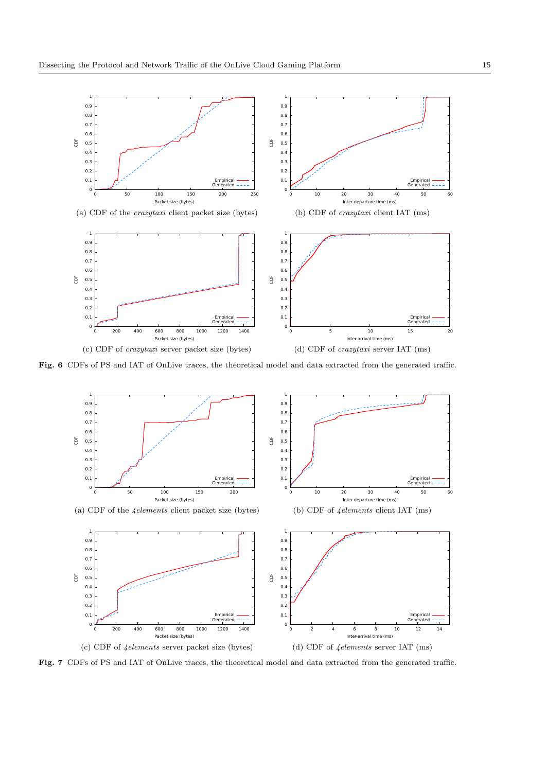

Fig. 6 CDFs of PS and IAT of OnLive traces, the theoretical model and data extracted from the generated traffic.



Fig. 7 CDFs of PS and IAT of OnLive traces, the theoretical model and data extracted from the generated traffic.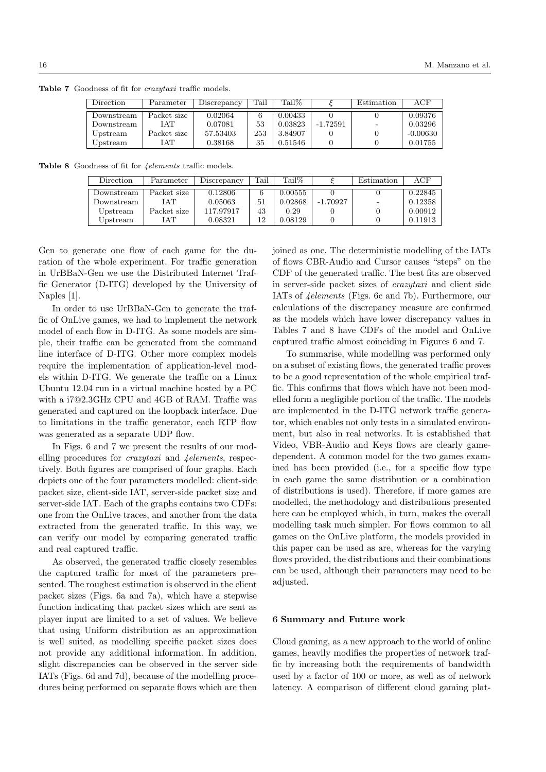Table 7 Goodness of fit for *crazytaxi* traffic models.

| Direction   | Parameter   | Discrepancy | Tail | Tail%   |            | Estimation | ACF        |
|-------------|-------------|-------------|------|---------|------------|------------|------------|
| Downstream  | Packet size | 0.02064     |      | 0.00433 |            |            | 0.09376    |
| Downstream- | IAT         | 0.07081     | 53   | 0.03823 | $-1.72591$ |            | 0.03296    |
| Upstream    | Packet size | 57.53403    | 253  | 3.84907 |            |            | $-0.00630$ |
| Upstream    | IAT         | 0.38168     | 35   | 0.51546 |            |            | 0.01755    |

Table 8 Goodness of fit for  $4$ elements traffic models.

| Direction  | Parameter   | Discrepancy | Tail | Tail%   |            | Estimation | $_{\rm ACF}$ |
|------------|-------------|-------------|------|---------|------------|------------|--------------|
| Downstream | Packet size | 0.12806     |      | 0.00555 |            |            | 0.22845      |
| Downstream | I A T       | 0.05063     | 51   | 0.02868 | $-1.70927$ |            | 0.12358      |
| Upstream   | Packet size | 117.97917   | 43   | 0.29    |            |            | 0.00912      |
| Upstream   | <b>TAT</b>  | 0.08321     | 12   | 0.08129 |            |            | 0.11913      |

Gen to generate one flow of each game for the duration of the whole experiment. For traffic generation in UrBBaN-Gen we use the Distributed Internet Traffic Generator (D-ITG) developed by the University of Naples [1].

In order to use UrBBaN-Gen to generate the traffic of OnLive games, we had to implement the network model of each flow in D-ITG. As some models are simple, their traffic can be generated from the command line interface of D-ITG. Other more complex models require the implementation of application-level models within D-ITG. We generate the traffic on a Linux Ubuntu 12.04 run in a virtual machine hosted by a PC with a i7@2.3GHz CPU and 4GB of RAM. Traffic was generated and captured on the loopback interface. Due to limitations in the traffic generator, each RTP flow was generated as a separate UDP flow.

In Figs. 6 and 7 we present the results of our modelling procedures for *crazytaxi* and *<u>Aelements</u>*, respectively. Both figures are comprised of four graphs. Each depicts one of the four parameters modelled: client-side packet size, client-side IAT, server-side packet size and server-side IAT. Each of the graphs contains two CDFs: one from the OnLive traces, and another from the data extracted from the generated traffic. In this way, we can verify our model by comparing generated traffic and real captured traffic.

As observed, the generated traffic closely resembles the captured traffic for most of the parameters presented. The roughest estimation is observed in the client packet sizes (Figs. 6a and 7a), which have a stepwise function indicating that packet sizes which are sent as player input are limited to a set of values. We believe that using Uniform distribution as an approximation is well suited, as modelling specific packet sizes does not provide any additional information. In addition, slight discrepancies can be observed in the server side IATs (Figs. 6d and 7d), because of the modelling procedures being performed on separate flows which are then

joined as one. The deterministic modelling of the IATs of flows CBR-Audio and Cursor causes "steps" on the CDF of the generated traffic. The best fits are observed in server-side packet sizes of crazytaxi and client side IATs of 4elements (Figs. 6c and 7b). Furthermore, our calculations of the discrepancy measure are confirmed as the models which have lower discrepancy values in Tables 7 and 8 have CDFs of the model and OnLive captured traffic almost coinciding in Figures 6 and 7.

To summarise, while modelling was performed only on a subset of existing flows, the generated traffic proves to be a good representation of the whole empirical traffic. This confirms that flows which have not been modelled form a negligible portion of the traffic. The models are implemented in the D-ITG network traffic generator, which enables not only tests in a simulated environment, but also in real networks. It is established that Video, VBR-Audio and Keys flows are clearly gamedependent. A common model for the two games examined has been provided (i.e., for a specific flow type in each game the same distribution or a combination of distributions is used). Therefore, if more games are modelled, the methodology and distributions presented here can be employed which, in turn, makes the overall modelling task much simpler. For flows common to all games on the OnLive platform, the models provided in this paper can be used as are, whereas for the varying flows provided, the distributions and their combinations can be used, although their parameters may need to be adjusted.

#### 6 Summary and Future work

Cloud gaming, as a new approach to the world of online games, heavily modifies the properties of network traffic by increasing both the requirements of bandwidth used by a factor of 100 or more, as well as of network latency. A comparison of different cloud gaming plat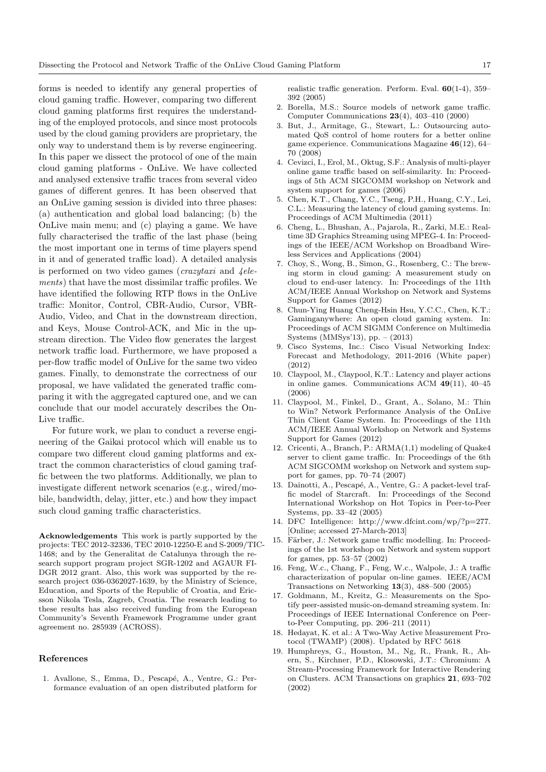forms is needed to identify any general properties of cloud gaming traffic. However, comparing two different cloud gaming platforms first requires the understanding of the employed protocols, and since most protocols used by the cloud gaming providers are proprietary, the only way to understand them is by reverse engineering. In this paper we dissect the protocol of one of the main cloud gaming platforms - OnLive. We have collected and analysed extensive traffic traces from several video games of different genres. It has been observed that an OnLive gaming session is divided into three phases: (a) authentication and global load balancing; (b) the OnLive main menu; and (c) playing a game. We have fully characterised the traffic of the last phase (being the most important one in terms of time players spend in it and of generated traffic load). A detailed analysis is performed on two video games ( $crazytaxi$  and  $\angle$ elements) that have the most dissimilar traffic profiles. We have identified the following RTP flows in the OnLive traffic: Monitor, Control, CBR-Audio, Cursor, VBR-Audio, Video, and Chat in the downstream direction, and Keys, Mouse Control-ACK, and Mic in the upstream direction. The Video flow generates the largest network traffic load. Furthermore, we have proposed a per-flow traffic model of OnLive for the same two video games. Finally, to demonstrate the correctness of our proposal, we have validated the generated traffic comparing it with the aggregated captured one, and we can conclude that our model accurately describes the On-Live traffic.

For future work, we plan to conduct a reverse engineering of the Gaikai protocol which will enable us to compare two different cloud gaming platforms and extract the common characteristics of cloud gaming traffic between the two platforms. Additionally, we plan to investigate different network scenarios (e.g., wired/mobile, bandwidth, delay, jitter, etc.) and how they impact such cloud gaming traffic characteristics.

Acknowledgements This work is partly supported by the projects: TEC 2012-32336, TEC 2010-12250-E and S-2009/TIC-1468; and by the Generalitat de Catalunya through the research support program project SGR-1202 and AGAUR FI-DGR 2012 grant. Also, this work was supported by the research project 036-0362027-1639, by the Ministry of Science, Education, and Sports of the Republic of Croatia, and Ericsson Nikola Tesla, Zagreb, Croatia. The research leading to these results has also received funding from the European Community's Seventh Framework Programme under grant agreement no. 285939 (ACROSS).

# References

1. Avallone, S., Emma, D., Pescapé, A., Ventre, G.: Performance evaluation of an open distributed platform for realistic traffic generation. Perform. Eval. 60(1-4), 359– 392 (2005)

- 2. Borella, M.S.: Source models of network game traffic. Computer Communications 23(4), 403–410 (2000)
- 3. But, J., Armitage, G., Stewart, L.: Outsourcing automated QoS control of home routers for a better online game experience. Communications Magazine 46(12), 64– 70 (2008)
- 4. Cevizci, I., Erol, M., Oktug, S.F.: Analysis of multi-player online game traffic based on self-similarity. In: Proceedings of 5th ACM SIGCOMM workshop on Network and system support for games (2006)
- 5. Chen, K.T., Chang, Y.C., Tseng, P.H., Huang, C.Y., Lei, C.L.: Measuring the latency of cloud gaming systems. In: Proceedings of ACM Multimedia (2011)
- 6. Cheng, L., Bhushan, A., Pajarola, R., Zarki, M.E.: Realtime 3D Graphics Streaming using MPEG-4. In: Proceedings of the IEEE/ACM Workshop on Broadband Wireless Services and Applications (2004)
- 7. Choy, S., Wong, B., Simon, G., Rosenberg, C.: The brewing storm in cloud gaming: A measurement study on cloud to end-user latency. In: Proceedings of the 11th ACM/IEEE Annual Workshop on Network and Systems Support for Games (2012)
- 8. Chun-Ying Huang Cheng-Hsin Hsu, Y.C.C., Chen, K.T.: Gaminganywhere: An open cloud gaming system. In: Proceedings of ACM SIGMM Conference on Multimedia Systems (MMSys'13), pp. – (2013)
- 9. Cisco Systems, Inc.: Cisco Visual Networking Index: Forecast and Methodology, 2011-2016 (White paper) (2012)
- 10. Claypool, M., Claypool, K.T.: Latency and player actions in online games. Communications ACM 49(11), 40–45 (2006)
- 11. Claypool, M., Finkel, D., Grant, A., Solano, M.: Thin to Win? Network Performance Analysis of the OnLive Thin Client Game System. In: Proceedings of the 11th ACM/IEEE Annual Workshop on Network and Systems Support for Games (2012)
- 12. Cricenti, A., Branch, P.: ARMA(1,1) modeling of Quake4 server to client game traffic. In: Proceedings of the 6th ACM SIGCOMM workshop on Network and system support for games, pp. 70–74 (2007)
- 13. Dainotti, A., Pescapé, A., Ventre, G.: A packet-level traffic model of Starcraft. In: Proceedings of the Second International Workshop on Hot Topics in Peer-to-Peer Systems, pp. 33–42 (2005)
- 14. DFC Intelligence: http://www.dfcint.com/wp/?p=277. [Online; accessed 27-March-2013]
- 15. Färber, J.: Network game traffic modelling. In: Proceedings of the 1st workshop on Network and system support for games, pp. 53–57 (2002)
- 16. Feng, W.c., Chang, F., Feng, W.c., Walpole, J.: A traffic characterization of popular on-line games. IEEE/ACM Transactions on Networking  $13(3)$ , 488–500 (2005)
- 17. Goldmann, M., Kreitz, G.: Measurements on the Spotify peer-assisted music-on-demand streaming system. In: Proceedings of IEEE International Conference on Peerto-Peer Computing, pp. 206–211 (2011)
- 18. Hedayat, K. et al.: A Two-Way Active Measurement Protocol (TWAMP) (2008). Updated by RFC 5618
- 19. Humphreys, G., Houston, M., Ng, R., Frank, R., Ahern, S., Kirchner, P.D., Klosowski, J.T.: Chromium: A Stream-Processing Framework for Interactive Rendering on Clusters. ACM Transactions on graphics 21, 693–702 (2002)